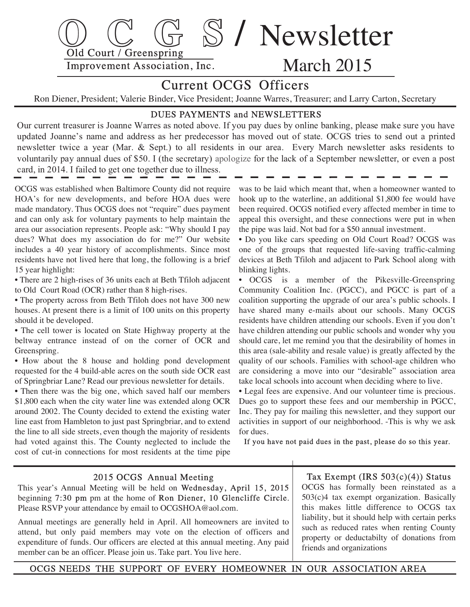

# Current OCGS Officers

Ron Diener, President; Valerie Binder, Vice President; Joanne Warres, Treasurer; and Larry Carton, Secretary

### DUES PAYMENTS and NEWSLETTERS

Our current treasurer is Joanne Warres as noted above. If you pay dues by online banking, please make sure you have updated Joanne's name and address as her predecessor has moved out of state. OCGS tries to send out a printed newsletter twice a year (Mar. & Sept.) to all residents in our area. Every March newsletter asks residents to voluntarily pay annual dues of \$50. I (the secretary) apologize for the lack of a September newsletter, or even a post card, in 2014. I failed to get one together due to illness.

 OCGS was established when Baltimore County did not require HOA's for new developments, and before HOA dues were made mandatory. Thus OCGS does not "require" dues payment and can only ask for voluntary payments to help maintain the area our association represents. People ask: "Why should I pay dues? What does my association do for me?" Our website includes a 40 year history of accomplishments. Since most residents have not lived here that long, the following is a brief 15 year highlight:

 • There are 2 high-rises of 36 units each at Beth Tfiloh adjacent to Old Court Road (OCR) rather than 8 high-rises.

 • The property across from Beth Tfiloh does not have 300 new houses. At present there is a limit of 100 units on this property should it be developed.

 • The cell tower is located on State Highway property at the beltway entrance instead of on the corner of OCR and Greenspring.

 • How about the 8 house and holding pond development requested for the 4 build-able acres on the south side OCR east of Springbriar Lane? Read our previous newsletter for details.

 • Then there was the big one, which saved half our members \$1,800 each when the city water line was extended along OCR around 2002. The County decided to extend the existing water line east from Hambleton to just past Springbriar, and to extend the line to all side streets, even though the majority of residents had voted against this. The County neglected to include the cost of cut-in connections for most residents at the time pipe

 was to be laid which meant that, when a homeowner wanted to hook up to the waterline, an additional \$1,800 fee would have been required. OCGS notified every affected member in time to appeal this oversight, and these connections were put in when the pipe was laid. Not bad for a \$50 annual investment.

 • Do you like cars speeding on Old Court Road? OCGS was one of the groups that requested life-saving traffic-calming devices at Beth Tfiloh and adjacent to Park School along with blinking lights.

 • OCGS is a member of the Pikesville-Greenspring Community Coalition Inc. (PGCC), and PGCC is part of a coalition supporting the upgrade of our area's public schools. I have shared many e-mails about our schools. Many OCGS residents have children attending our schools. Even if you don't have children attending our public schools and wonder why you should care, let me remind you that the desirability of homes in this area (sale-ability and resale value) is greatly affected by the quality of our schools. Families with school-age children who are considering a move into our "desirable" association area take local schools into account when deciding where to live.

 • Legal fees are expensive. And our volunteer time is precious. Dues go to support these fees and our membership in PGCC, Inc. They pay for mailing this newsletter, and they support our activities in support of our neighborhood. -This is why we ask for dues.

If you have not paid dues in the past, please do so this year.

#### 2015 OCGS Annual Meeting

 This year's Annual Meeting will be held on Wednesday, April 15, 2015 beginning 7:30 pm pm at the home of Ron Diener, 10 Glencliffe Circle. Please RSVP your attendance by email to OCGSHOA@aol.com.

 Annual meetings are generally held in April. All homeowners are invited to attend, but only paid members may vote on the election of officers and expenditure of funds. Our officers are elected at this annual meeting. Any paid member can be an officer. Please join us. Take part. You live here.

Tax Exempt (IRS  $503(c)(4)$ ) Status

 OCGS has formally been reinstated as a 503(c)4 tax exempt organization. Basically this makes little difference to OCGS tax liability, but it should help with certain perks such as reduced rates when renting County property or deductabilty of donations from friends and organizations

OCGS NEEDS THE SUPPORT OF EVERY HOMEOWNER IN OUR ASSOCIATION AREA